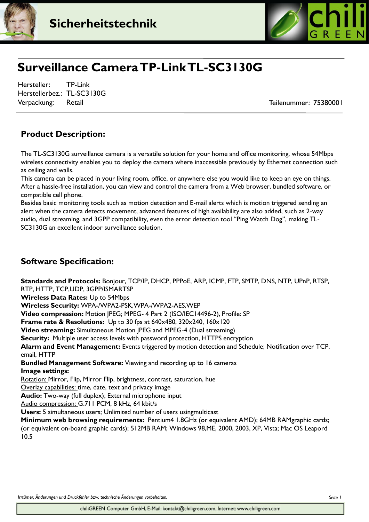



## **Surveillance CameraTP-Link TL-SC3130G**

Hersteller: TP-Link Herstellerbez.: TL-SC3130G Verpackung: Retail Teilenummer: 75380001

## **Product Description:**

The TL-SC3130G surveillance camera is a versatile solution for your home and office monitoring, whose 54Mbps wireless connectivity enables you to deploy the camera where inaccessible previously by Ethernet connection such as ceiling and walls.

This camera can be placed in your living room, office, or anywhere else you would like to keep an eye on things. After a hassle-free installation, you can view and control the camera from a Web browser, bundled software, or compatible cell phone.

Besides basic monitoring tools such as motion detection and E-mail alerts which is motion triggered sending an alert when the camera detects movement, advanced features of high availability are also added, such as 2-way audio, dual streaming, and 3GPP compatibility, even the error detection tool "Ping Watch Dog", making TL-SC3130G an excellent indoor surveillance solution.

## **Software Specification:**

**Standards and Protocols:** Bonjour, TCP/IP, DHCP, PPPoE, ARP, ICMP, FTP, SMTP, DNS, NTP, UPnP, RTSP, RTP, HTTP, TCP,UDP, 3GPP/ISMARTSP **Wireless Data Rates:** Up to 54Mbps **Wireless Security:** WPA-/WPA2-PSK,WPA-/WPA2-AES,WEP **Video compression:** Motion JPEG; MPEG- 4 Part 2 (ISO/IEC14496-2), Profile: SP **Frame rate & Resolutions:** Up to 30 fps at 640x480, 320x240, 160x120 **Video streaming:** Simultaneous Motion JPEG and MPEG-4 (Dual streaming) **Security:** Multiple user access levels with password protection, HTTPS encryption **Alarm and Event Management:** Events triggered by motion detection and Schedule; Notification over TCP, email, HTTP **Bundled Management Software:** Viewing and recording up to 16 cameras **Image settings:**  Rotation: Mirror, Flip, Mirror Flip, brightness, contrast, saturation, hue Overlay capabilities: time, date, text and privacy image **Audio:** Two-way (full duplex); External microphone input Audio compression: G.711 PCM, 8 kHz, 64 kbit/s **Users:** 5 simultaneous users; Unlimited number of users usingmulticast **Minimum web browsing requirements:** Pentium4 1.8GHz (or equivalent AMD); 64MB RAMgraphic cards; (or equivalent on-board graphic cards); 512MB RAM; Windows 98,ME, 2000, 2003, XP, Vista; Mac OS Leapord 10.5

*Irrtümer, Änderungen und Druckfehler bzw. technische Änderungen vorbehalten.*